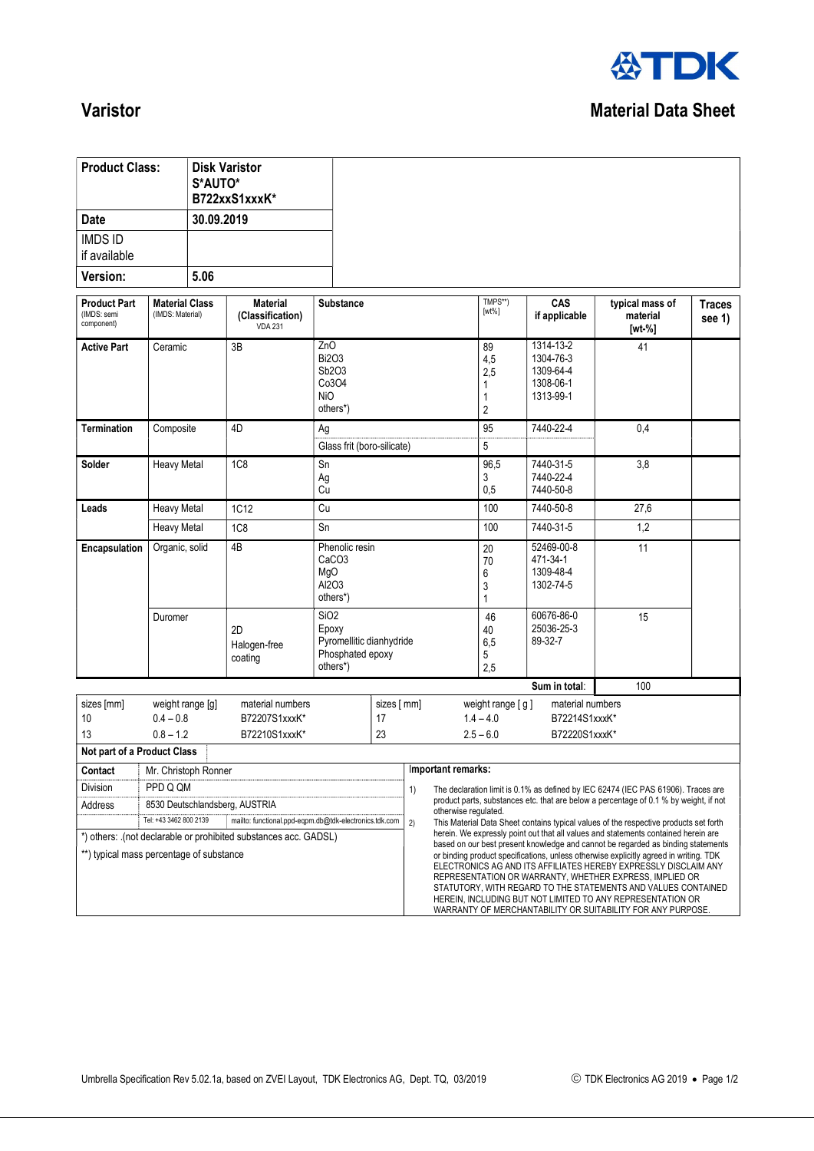

# **Varistor** Material Data Sheet

| <b>Product Class:</b>          | <b>Disk Varistor</b><br>S*AUTO*<br>B722xxS1xxxK* |
|--------------------------------|--------------------------------------------------|
| Date                           | 30.09.2019                                       |
| <b>IMDS ID</b><br>if available |                                                  |
| Version:                       | 5.06                                             |

| <b>Product Part</b><br>(IMDS: semi<br>component) | <b>Material Class</b><br>(IMDS: Material)      | <b>Material</b><br>(Classification)<br><b>VDA 231</b> | <b>Substance</b>                                                                      |                         | TMPS**)<br>$[wt\%]$                            | CAS<br>if applicable                                          | typical mass of<br>material<br>$[wt-%]$ | <b>Traces</b><br>see 1) |
|--------------------------------------------------|------------------------------------------------|-------------------------------------------------------|---------------------------------------------------------------------------------------|-------------------------|------------------------------------------------|---------------------------------------------------------------|-----------------------------------------|-------------------------|
| <b>Active Part</b>                               | Ceramic                                        | 3B                                                    | ZnO<br><b>Bi2O3</b><br>Sb2O3<br>Co3O4<br><b>NiO</b><br>others*)                       |                         | 89<br>4,5<br>2,5<br>$\overline{2}$             | 1314-13-2<br>1304-76-3<br>1309-64-4<br>1308-06-1<br>1313-99-1 | 41                                      |                         |
| <b>Termination</b>                               | Composite                                      | 4D                                                    | Ag                                                                                    |                         | 95                                             | 7440-22-4                                                     | 0,4                                     |                         |
|                                                  |                                                |                                                       | Glass frit (boro-silicate)                                                            |                         | 5                                              |                                                               |                                         |                         |
| Solder                                           | <b>Heavy Metal</b>                             | 1 <sub>C</sub> 8                                      | Sn<br>Ag<br>Cu                                                                        |                         | 96,5<br>3<br>0,5                               | 7440-31-5<br>7440-22-4<br>7440-50-8                           | 3,8                                     |                         |
| Leads                                            | Heavy Metal                                    | 1C12                                                  | Cu                                                                                    |                         | 100                                            | 7440-50-8                                                     | 27,6                                    |                         |
|                                                  | <b>Heavy Metal</b>                             | <b>1C8</b>                                            | Sn                                                                                    |                         | 100                                            | 7440-31-5                                                     | 1,2                                     |                         |
| Encapsulation                                    | Organic, solid                                 | 4B                                                    | Phenolic resin<br>CaCO <sub>3</sub><br>MgO<br>AI203<br>others*)                       |                         | 20<br>70<br>6<br>3<br>1                        | 52469-00-8<br>471-34-1<br>1309-48-4<br>1302-74-5              | 11                                      |                         |
|                                                  | Duromer                                        | 2D<br>Halogen-free<br>coating                         | SiO <sub>2</sub><br>Epoxy<br>Pyromellitic dianhydride<br>Phosphated epoxy<br>others*) |                         | 46<br>40<br>6,5<br>5<br>2,5                    | 60676-86-0<br>25036-25-3<br>89-32-7                           | 15                                      |                         |
|                                                  |                                                |                                                       |                                                                                       |                         |                                                | Sum in total:                                                 | 100                                     |                         |
| sizes [mm]<br>10<br>13                           | weight range [g]<br>$0.4 - 0.8$<br>$0.8 - 1.2$ | material numbers<br>B72207S1xxxK*<br>B72210S1xxxK*    |                                                                                       | sizes [ mm]<br>17<br>23 | weight range [g]<br>$1.4 - 4.0$<br>$2.5 - 6.0$ | material numbers<br>B72214S1xxxK*<br>B72220S1xxxK*            |                                         |                         |

| .        |                             | -- |                    |
|----------|-----------------------------|----|--------------------|
|          | Not part of a Product Class |    |                    |
| Contact  | Mr. Christoph Ronner        |    | Important remarks: |
| Jivision | PPD Q QM                    |    | The declaration I  |

\*) others: .(not declarable or prohibited substances acc. GADSL)

Address 8530 Deutschlandsberg, AUSTRIA

\*\*) typical mass percentage of substance

| Mr. Christoph Ronner           |                                                             | important remarks. |                                                                                                               |  |  |  |
|--------------------------------|-------------------------------------------------------------|--------------------|---------------------------------------------------------------------------------------------------------------|--|--|--|
| PPD Q QM                       |                                                             |                    | The declaration limit is 0.1% as defined by IEC 62474 (IEC PAS 61906). Traces are                             |  |  |  |
| 8530 Deutschlandsberg, AUSTRIA |                                                             |                    | product parts, substances etc. that are below a percentage of 0.1 % by weight, if not<br>otherwise regulated. |  |  |  |
| Tel: +43 3462 800 2139         | mailto: functional.ppd-eqpm.db@tdk-electronics.tdk.com   2) |                    | This Material Data Sheet contains typical values of the respective products set forth                         |  |  |  |

herein. We expressly point out that all values and statements contained herein are based on our best present knowledge and cannot be regarded as binding statements or binding product specifications, unless otherwise explicitly agreed in writing. TDK ELECTRONICS AG AND ITS AFFILIATES HEREBY EXPRESSLY DISCLAIM ANY REPRESENTATION OR WARRANTY, WHETHER EXPRESS, IMPLIED OR STATUTORY, WITH REGARD TO THE STATEMENTS AND VALUES CONTAINED HEREIN, INCLUDING BUT NOT LIMITED TO ANY REPRESENTATION OR WARRANTY OF MERCHANTABILITY OR SUITABILITY FOR ANY PURPOSE.